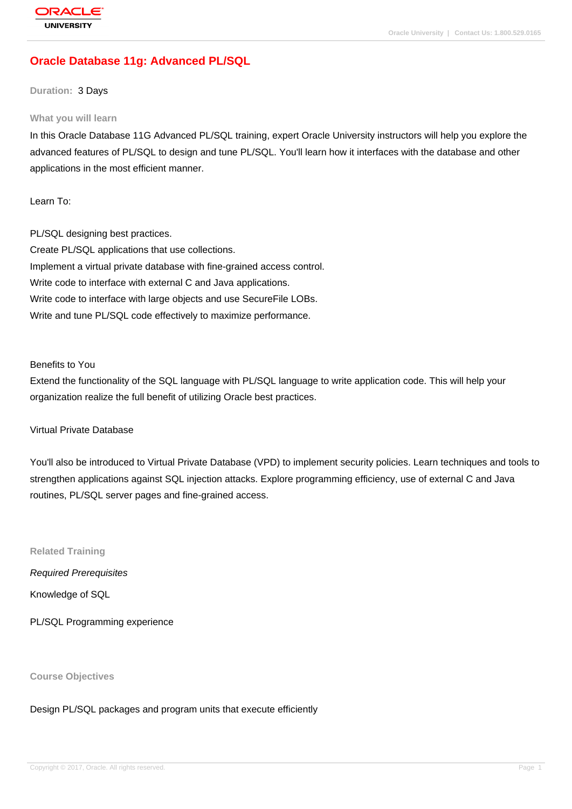# **[Oracle Databas](http://education.oracle.com/pls/web_prod-plq-dad/db_pages.getpage?page_id=3)e 11g: Advanced PL/SQL**

#### **Duration:** 3 Days

#### **What you will learn**

In this Oracle Database 11G Advanced PL/SQL training, expert Oracle University instructors will help you explore the advanced features of PL/SQL to design and tune PL/SQL. You'll learn how it interfaces with the database and other applications in the most efficient manner.

Learn To:

PL/SQL designing best practices. Create PL/SQL applications that use collections. Implement a virtual private database with fine-grained access control. Write code to interface with external C and Java applications. Write code to interface with large objects and use SecureFile LOBs. Write and tune PL/SQL code effectively to maximize performance.

#### Benefits to You

Extend the functionality of the SQL language with PL/SQL language to write application code. This will help your organization realize the full benefit of utilizing Oracle best practices.

#### Virtual Private Database

You'll also be introduced to Virtual Private Database (VPD) to implement security policies. Learn techniques and tools to strengthen applications against SQL injection attacks. Explore programming efficiency, use of external C and Java routines, PL/SQL server pages and fine-grained access.

**Related Training** Required Prerequisites Knowledge of SQL

PL/SQL Programming experience

**Course Objectives**

Design PL/SQL packages and program units that execute efficiently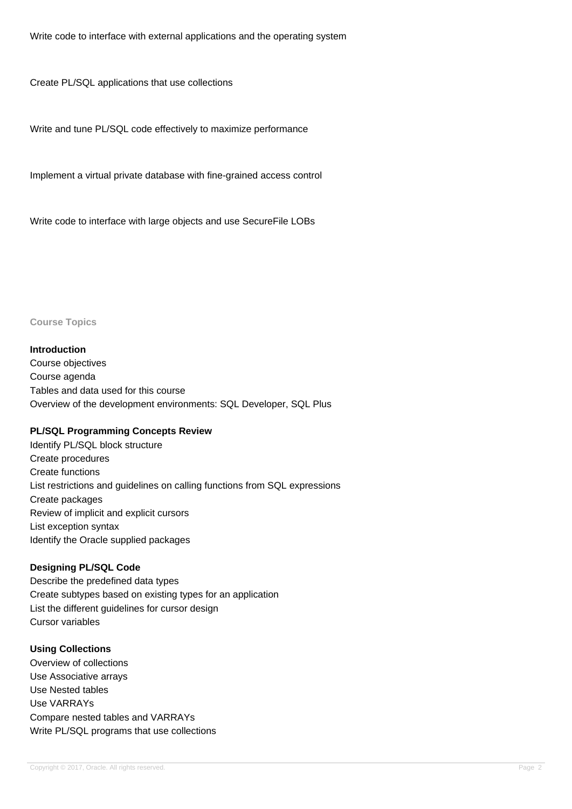Write code to interface with external applications and the operating system

Create PL/SQL applications that use collections

Write and tune PL/SQL code effectively to maximize performance

Implement a virtual private database with fine-grained access control

Write code to interface with large objects and use SecureFile LOBs

**Course Topics**

#### **Introduction**

Course objectives Course agenda Tables and data used for this course Overview of the development environments: SQL Developer, SQL Plus

#### **PL/SQL Programming Concepts Review**

Identify PL/SQL block structure Create procedures Create functions List restrictions and guidelines on calling functions from SQL expressions Create packages Review of implicit and explicit cursors List exception syntax Identify the Oracle supplied packages

#### **Designing PL/SQL Code**

Describe the predefined data types Create subtypes based on existing types for an application List the different guidelines for cursor design Cursor variables

## **Using Collections**

Overview of collections Use Associative arrays Use Nested tables Use VARRAYs Compare nested tables and VARRAYs Write PL/SQL programs that use collections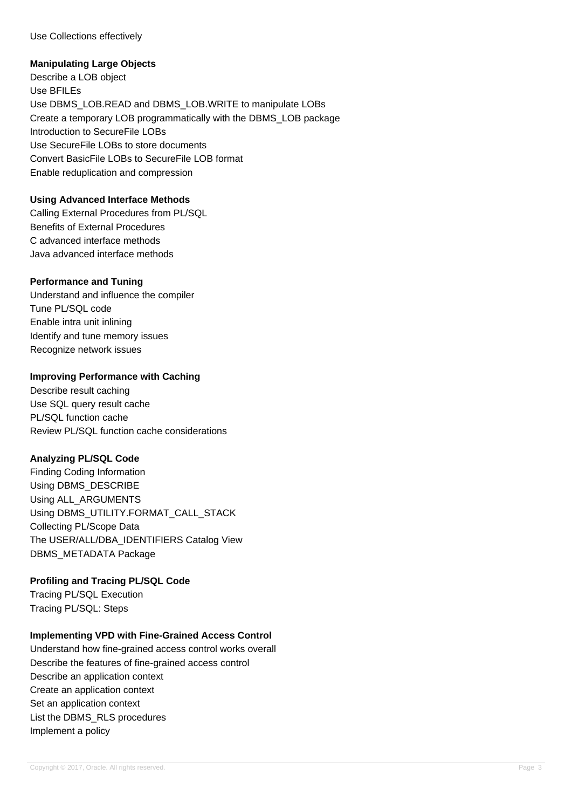Use Collections effectively

#### **Manipulating Large Objects**

Describe a LOB object Use BFILEs Use DBMS\_LOB.READ and DBMS\_LOB.WRITE to manipulate LOBs Create a temporary LOB programmatically with the DBMS\_LOB package Introduction to SecureFile LOBs Use SecureFile LOBs to store documents Convert BasicFile LOBs to SecureFile LOB format Enable reduplication and compression

### **Using Advanced Interface Methods**

Calling External Procedures from PL/SQL Benefits of External Procedures C advanced interface methods Java advanced interface methods

### **Performance and Tuning**

Understand and influence the compiler Tune PL/SQL code Enable intra unit inlining Identify and tune memory issues Recognize network issues

### **Improving Performance with Caching**

Describe result caching Use SQL query result cache PL/SQL function cache Review PL/SQL function cache considerations

#### **Analyzing PL/SQL Code**

Finding Coding Information Using DBMS\_DESCRIBE Using ALL\_ARGUMENTS Using DBMS\_UTILITY.FORMAT\_CALL\_STACK Collecting PL/Scope Data The USER/ALL/DBA\_IDENTIFIERS Catalog View DBMS\_METADATA Package

## **Profiling and Tracing PL/SQL Code**

Tracing PL/SQL Execution Tracing PL/SQL: Steps

## **Implementing VPD with Fine-Grained Access Control**

Understand how fine-grained access control works overall Describe the features of fine-grained access control Describe an application context Create an application context Set an application context List the DBMS\_RLS procedures Implement a policy